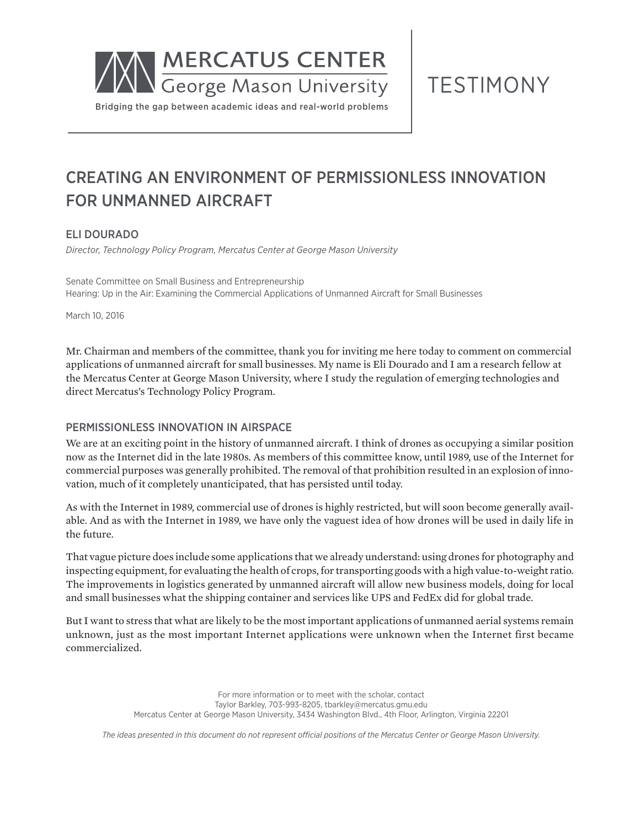

TESTIMONY

## CREATING AN ENVIRONMENT OF PERMISSIONLESS INNOVATION FOR UNMANNED AIRCRAFT

#### ELI DOURADO

*Director, Technology Policy Program, Mercatus Center at George Mason University*

Senate Committee on Small Business and Entrepreneurship Hearing: Up in the Air: Examining the Commercial Applications of Unmanned Aircraft for Small Businesses

March 10, 2016

Mr. Chairman and members of the committee, thank you for inviting me here today to comment on commercial applications of unmanned aircraft for small businesses. My name is Eli Dourado and I am a research fellow at the Mercatus Center at George Mason University, where I study the regulation of emerging technologies and direct Mercatus's Technology Policy Program.

#### PERMISSIONLESS INNOVATION IN AIRSPACE

We are at an exciting point in the history of unmanned aircraft. I think of drones as occupying a similar position now as the Internet did in the late 1980s. As members of this committee know, until 1989, use of the Internet for commercial purposes was generally prohibited. The removal of that prohibition resulted in an explosion of innovation, much of it completely unanticipated, that has persisted until today.

As with the Internet in 1989, commercial use of drones is highly restricted, but will soon become generally available. And as with the Internet in 1989, we have only the vaguest idea of how drones will be used in daily life in the future.

That vague picture does include some applications that we already understand: using drones for photography and inspecting equipment, for evaluating the health of crops, for transporting goods with a high value-to-weight ratio. The improvements in logistics generated by unmanned aircraft will allow new business models, doing for local and small businesses what the shipping container and services like UPS and FedEx did for global trade.

But I want to stress that what are likely to be the most important applications of unmanned aerial systems remain unknown, just as the most important Internet applications were unknown when the Internet first became commercialized.

> For more information or to meet with the scholar, contact Taylor Barkley, 703-993-8205, tbarkley@mercatus.gmu.edu Mercatus Center at George Mason University, 3434 Washington Blvd., 4th Floor, Arlington, Virginia 22201

*The ideas presented in this document do not represent official positions of the Mercatus Center or George Mason University.*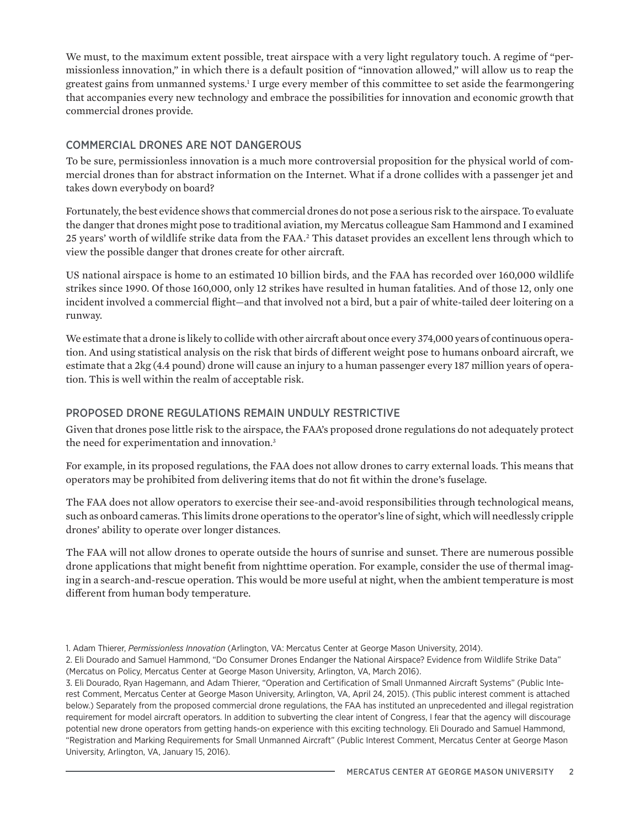We must, to the maximum extent possible, treat airspace with a very light regulatory touch. A regime of "permissionless innovation," in which there is a default position of "innovation allowed," will allow us to reap the greatest gains from unmanned systems.1 I urge every member of this committee to set aside the fearmongering that accompanies every new technology and embrace the possibilities for innovation and economic growth that commercial drones provide.

#### COMMERCIAL DRONES ARE NOT DANGEROUS

To be sure, permissionless innovation is a much more controversial proposition for the physical world of commercial drones than for abstract information on the Internet. What if a drone collides with a passenger jet and takes down everybody on board?

Fortunately, the best evidence shows that commercial drones do not pose a serious risk to the airspace. To evaluate the danger that drones might pose to traditional aviation, my Mercatus colleague Sam Hammond and I examined 25 years' worth of wildlife strike data from the FAA.<sup>2</sup> This dataset provides an excellent lens through which to view the possible danger that drones create for other aircraft.

US national airspace is home to an estimated 10 billion birds, and the FAA has recorded over 160,000 wildlife strikes since 1990. Of those 160,000, only 12 strikes have resulted in human fatalities. And of those 12, only one incident involved a commercial flight—and that involved not a bird, but a pair of white-tailed deer loitering on a runway.

We estimate that a drone is likely to collide with other aircraft about once every 374,000 years of continuous operation. And using statistical analysis on the risk that birds of different weight pose to humans onboard aircraft, we estimate that a 2kg (4.4 pound) drone will cause an injury to a human passenger every 187 million years of operation. This is well within the realm of acceptable risk.

#### PROPOSED DRONE REGULATIONS REMAIN UNDULY RESTRICTIVE

Given that drones pose little risk to the airspace, the FAA's proposed drone regulations do not adequately protect the need for experimentation and innovation.<sup>3</sup>

For example, in its proposed regulations, the FAA does not allow drones to carry external loads. This means that operators may be prohibited from delivering items that do not fit within the drone's fuselage.

The FAA does not allow operators to exercise their see-and-avoid responsibilities through technological means, such as onboard cameras. This limits drone operations to the operator's line of sight, which will needlessly cripple drones' ability to operate over longer distances.

The FAA will not allow drones to operate outside the hours of sunrise and sunset. There are numerous possible drone applications that might benefit from nighttime operation. For example, consider the use of thermal imaging in a search-and-rescue operation. This would be more useful at night, when the ambient temperature is most different from human body temperature.

3. Eli Dourado, Ryan Hagemann, and Adam Thierer, "Operation and Certification of Small Unmanned Aircraft Systems" (Public Interest Comment, Mercatus Center at George Mason University, Arlington, VA, April 24, 2015). (This public interest comment is attached below.) Separately from the proposed commercial drone regulations, the FAA has instituted an unprecedented and illegal registration requirement for model aircraft operators. In addition to subverting the clear intent of Congress, I fear that the agency will discourage potential new drone operators from getting hands-on experience with this exciting technology. Eli Dourado and Samuel Hammond, "Registration and Marking Requirements for Small Unmanned Aircraft" (Public Interest Comment, Mercatus Center at George Mason University, Arlington, VA, January 15, 2016).

<sup>1.</sup> Adam Thierer, *Permissionless Innovation* (Arlington, VA: Mercatus Center at George Mason University, 2014).

<sup>2.</sup> Eli Dourado and Samuel Hammond, "Do Consumer Drones Endanger the National Airspace? Evidence from Wildlife Strike Data" (Mercatus on Policy, Mercatus Center at George Mason University, Arlington, VA, March 2016).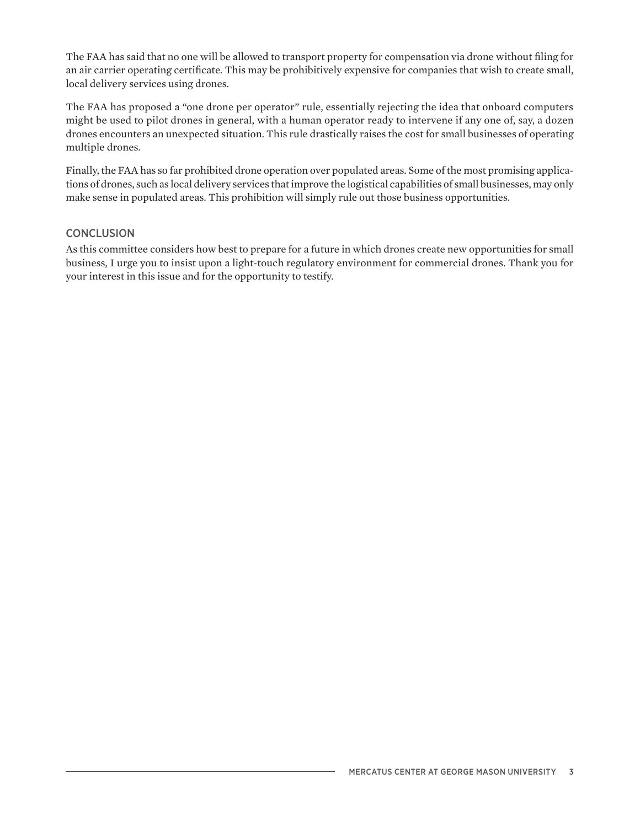The FAA has said that no one will be allowed to transport property for compensation via drone without filing for an air carrier operating certificate. This may be prohibitively expensive for companies that wish to create small, local delivery services using drones.

The FAA has proposed a "one drone per operator" rule, essentially rejecting the idea that onboard computers might be used to pilot drones in general, with a human operator ready to intervene if any one of, say, a dozen drones encounters an unexpected situation. This rule drastically raises the cost for small businesses of operating multiple drones.

Finally, the FAA has so far prohibited drone operation over populated areas. Some of the most promising applications of drones, such as local delivery services that improve the logistical capabilities of small businesses, may only make sense in populated areas. This prohibition will simply rule out those business opportunities.

#### **CONCLUSION**

As this committee considers how best to prepare for a future in which drones create new opportunities for small business, I urge you to insist upon a light-touch regulatory environment for commercial drones. Thank you for your interest in this issue and for the opportunity to testify.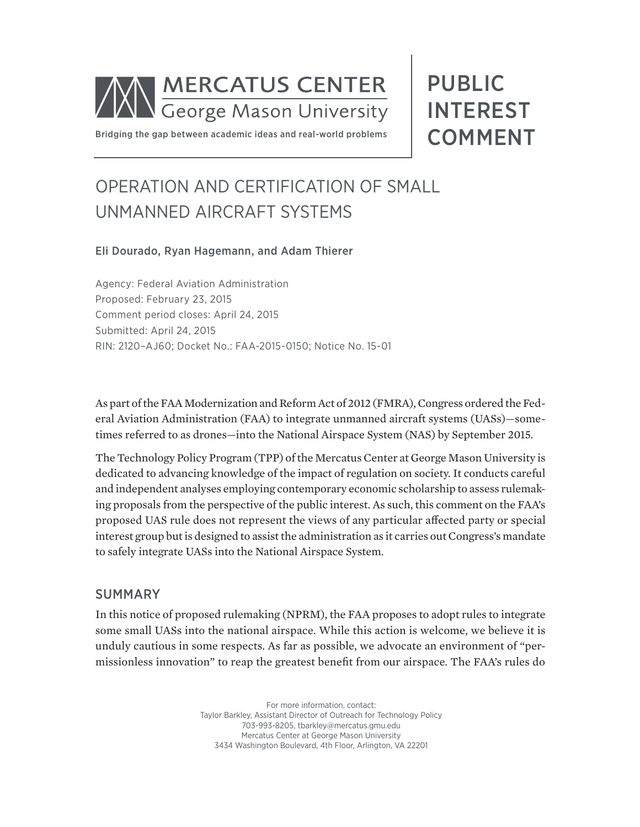

PUBLIC INTEREST COMMENT

Bridging the gap between academic ideas and real-world problems

# OPERATION AND CERTIFICATION OF SMALL UNMANNED AIRCRAFT SYSTEMS

#### Eli Dourado, Ryan Hagemann, and Adam Thierer

Agency: Federal Aviation Administration Proposed: February 23, 2015 Comment period closes: April 24, 2015 Submitted: April 24, 2015 RIN: 2120–AJ60; Docket No.: FAA-2015-0150; Notice No. 15-01

As part of the FAA Modernization and Reform Act of 2012 (FMRA), Congress ordered the Federal Aviation Administration (FAA) to integrate unmanned aircraft systems (UASs)—sometimes referred to as drones—into the National Airspace System (NAS) by September 2015.

The Technology Policy Program (TPP) of the Mercatus Center at George Mason University is dedicated to advancing knowledge of the impact of regulation on society. It conducts careful and independent analyses employing contemporary economic scholarship to assess rulemaking proposals from the perspective of the public interest. As such, this comment on the FAA's proposed UAS rule does not represent the views of any particular affected party or special interest group but is designed to assist the administration as it carries out Congress's mandate to safely integrate UASs into the National Airspace System.

#### SUMMARY

In this notice of proposed rulemaking (NPRM), the FAA proposes to adopt rules to integrate some small UASs into the national airspace. While this action is welcome, we believe it is unduly cautious in some respects. As far as possible, we advocate an environment of "permissionless innovation" to reap the greatest benefit from our airspace. The FAA's rules do

> For more information, contact: Taylor Barkley, Assistant Director of Outreach for Technology Policy 703-993-8205, tbarkley@mercatus.gmu.edu Mercatus Center at George Mason University 3434 Washington Boulevard, 4th Floor, Arlington, VA 22201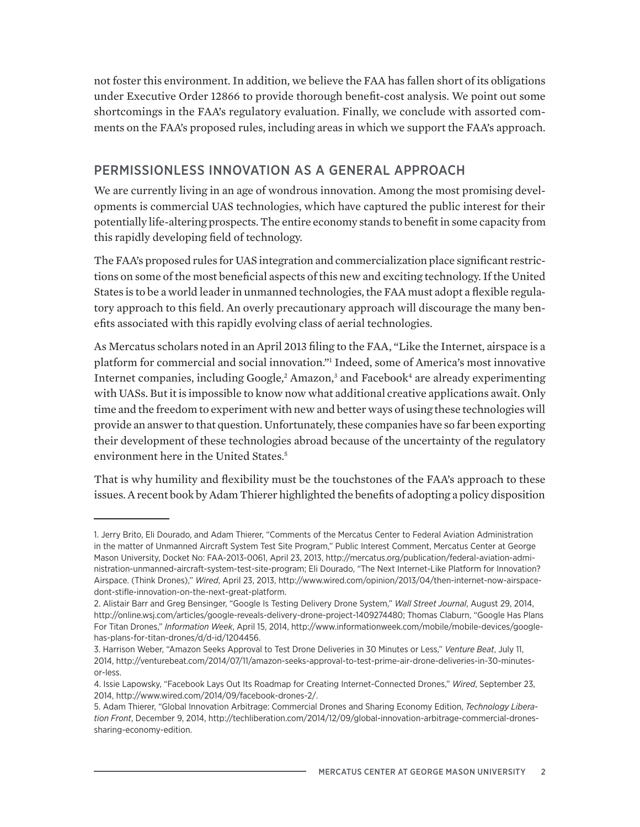not foster this environment. In addition, we believe the FAA has fallen short of its obligations under Executive Order 12866 to provide thorough benefit-cost analysis. We point out some shortcomings in the FAA's regulatory evaluation. Finally, we conclude with assorted comments on the FAA's proposed rules, including areas in which we support the FAA's approach.

## PERMISSIONLESS INNOVATION AS A GENERAL APPROACH

We are currently living in an age of wondrous innovation. Among the most promising developments is commercial UAS technologies, which have captured the public interest for their potentially life-altering prospects. The entire economy stands to benefit in some capacity from this rapidly developing field of technology.

The FAA's proposed rules for UAS integration and commercialization place significant restrictions on some of the most beneficial aspects of this new and exciting technology. If the United States is to be a world leader in unmanned technologies, the FAA must adopt a flexible regulatory approach to this field. An overly precautionary approach will discourage the many benefits associated with this rapidly evolving class of aerial technologies.

As Mercatus scholars noted in an April 2013 filing to the FAA, "Like the Internet, airspace is a platform for commercial and social innovation."1 Indeed, some of America's most innovative Internet companies, including Google,<sup>2</sup> Amazon,<sup>3</sup> and Facebook<sup>4</sup> are already experimenting with UASs. But it is impossible to know now what additional creative applications await. Only time and the freedom to experiment with new and better ways of using these technologies will provide an answer to that question. Unfortunately, these companies have so far been exporting their development of these technologies abroad because of the uncertainty of the regulatory environment here in the United States.<sup>5</sup>

That is why humility and flexibility must be the touchstones of the FAA's approach to these issues. A recent book by Adam Thierer highlighted the benefits of adopting a policy disposition

<sup>1.</sup> Jerry Brito, Eli Dourado, and Adam Thierer, "Comments of the Mercatus Center to Federal Aviation Administration in the matter of Unmanned Aircraft System Test Site Program," Public Interest Comment, Mercatus Center at George Mason University, Docket No: FAA-2013-0061, April 23, 2013, http://mercatus.org/publication/federal-aviation-administration-unmanned-aircraft-system-test-site-program; Eli Dourado, "The Next Internet-Like Platform for Innovation? Airspace. (Think Drones)," *Wired*, April 23, 2013, http://www.wired.com/opinion/2013/04/then-internet-now-airspacedont-stifle-innovation-on-the-next-great-platform.

<sup>2.</sup> Alistair Barr and Greg Bensinger, "Google Is Testing Delivery Drone System," *Wall Street Journal*, August 29, 2014, http://online.wsj.com/articles/google-reveals-delivery-drone-project-1409274480; Thomas Claburn, "Google Has Plans For Titan Drones," *Information Week*, April 15, 2014, http://www.informationweek.com/mobile/mobile-devices/googlehas-plans-for-titan-drones/d/d-id/1204456.

<sup>3.</sup> Harrison Weber, "Amazon Seeks Approval to Test Drone Deliveries in 30 Minutes or Less," *Venture Beat*, July 11, 2014, http://venturebeat.com/2014/07/11/amazon-seeks-approval-to-test-prime-air-drone-deliveries-in-30-minutesor-less.

<sup>4.</sup> Issie Lapowsky, "Facebook Lays Out Its Roadmap for Creating Internet-Connected Drones," *Wired*, September 23, 2014, http://www.wired.com/2014/09/facebook-drones-2/.

<sup>5.</sup> Adam Thierer, "Global Innovation Arbitrage: Commercial Drones and Sharing Economy Edition, *Technology Liberation Front*, December 9, 2014, http://techliberation.com/2014/12/09/global-innovation-arbitrage-commercial-dronessharing-economy-edition.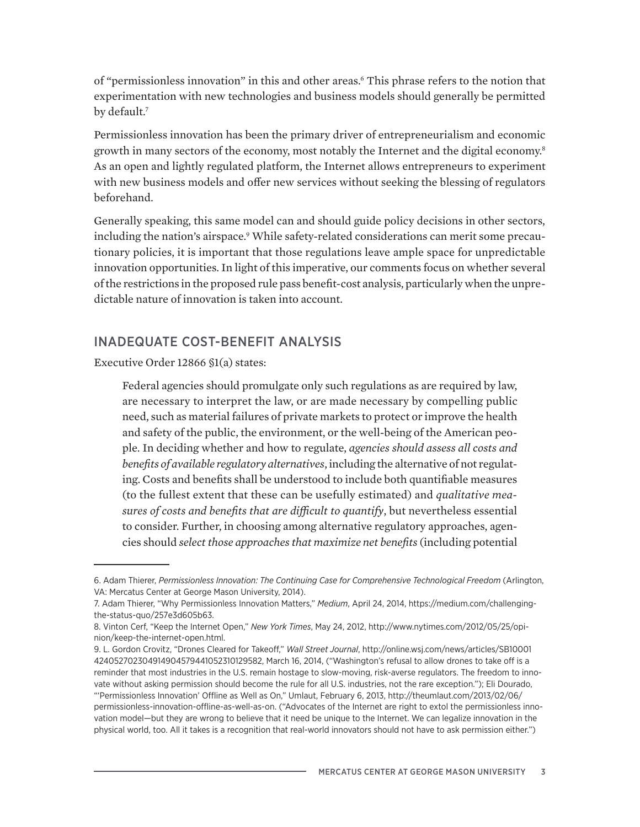of "permissionless innovation" in this and other areas.<sup>6</sup> This phrase refers to the notion that experimentation with new technologies and business models should generally be permitted by default.<sup>7</sup>

Permissionless innovation has been the primary driver of entrepreneurialism and economic growth in many sectors of the economy, most notably the Internet and the digital economy.<sup>8</sup> As an open and lightly regulated platform, the Internet allows entrepreneurs to experiment with new business models and offer new services without seeking the blessing of regulators beforehand.

Generally speaking, this same model can and should guide policy decisions in other sectors, including the nation's airspace.<sup>9</sup> While safety-related considerations can merit some precautionary policies, it is important that those regulations leave ample space for unpredictable innovation opportunities. In light of this imperative, our comments focus on whether several of the restrictions in the proposed rule pass benefit-cost analysis, particularly when the unpredictable nature of innovation is taken into account.

## INADEQUATE COST-BENEFIT ANALYSIS

Executive Order 12866 §1(a) states:

Federal agencies should promulgate only such regulations as are required by law, are necessary to interpret the law, or are made necessary by compelling public need, such as material failures of private markets to protect or improve the health and safety of the public, the environment, or the well-being of the American people. In deciding whether and how to regulate, *agencies should assess all costs and benefits of available regulatory alternatives*, including the alternative of not regulating. Costs and benefits shall be understood to include both quantifiable measures (to the fullest extent that these can be usefully estimated) and *qualitative measures of costs and benefits that are difficult to quantify*, but nevertheless essential to consider. Further, in choosing among alternative regulatory approaches, agencies should *select those approaches that maximize net benefits* (including potential

<sup>6.</sup> Adam Thierer, *Permissionless Innovation: The Continuing Case for Comprehensive Technological Freedom* (Arlington, VA: Mercatus Center at George Mason University, 2014).

<sup>7.</sup> Adam Thierer, "Why Permissionless Innovation Matters," *Medium*, April 24, 2014, https://medium.com/challengingthe-status-quo/257e3d605b63.

<sup>8.</sup> Vinton Cerf, "Keep the Internet Open," *New York Times*, May 24, 2012, http://www.nytimes.com/2012/05/25/opinion/keep-the-internet-open.html.

<sup>9.</sup> L. Gordon Crovitz, "Drones Cleared for Takeoff," *Wall Street Journal*, http://online.wsj.com/news/articles/SB10001 424052702304914904579441052310129582, March 16, 2014, ("Washington's refusal to allow drones to take off is a reminder that most industries in the U.S. remain hostage to slow-moving, risk-averse regulators. The freedom to innovate without asking permission should become the rule for all U.S. industries, not the rare exception."); Eli Dourado, "'Permissionless Innovation' Offline as Well as On," Umlaut, February 6, 2013, http://theumlaut.com/2013/02/06/ permissionless-innovation-offline-as-well-as-on. ("Advocates of the Internet are right to extol the permissionless innovation model—but they are wrong to believe that it need be unique to the Internet. We can legalize innovation in the physical world, too. All it takes is a recognition that real-world innovators should not have to ask permission either.")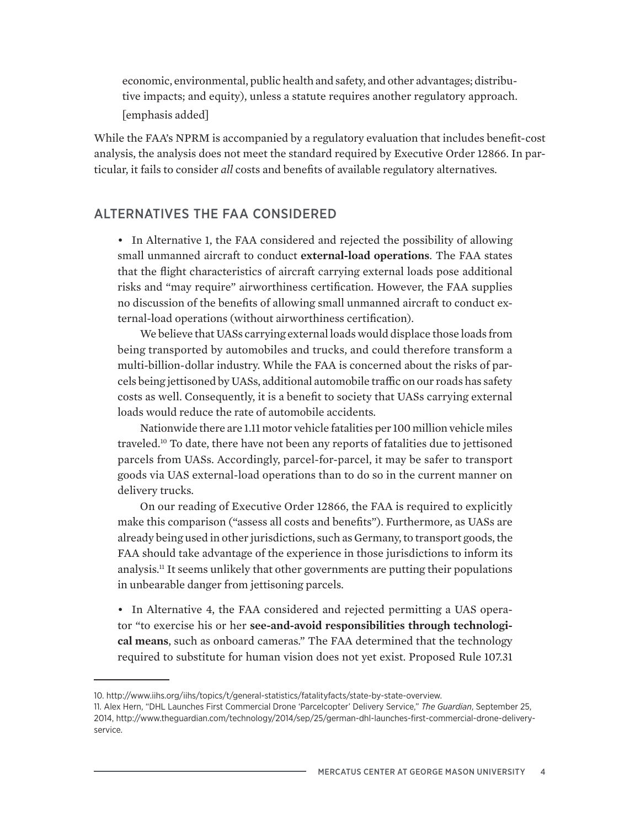economic, environmental, public health and safety, and other advantages; distributive impacts; and equity), unless a statute requires another regulatory approach. [emphasis added]

While the FAA's NPRM is accompanied by a regulatory evaluation that includes benefit-cost analysis, the analysis does not meet the standard required by Executive Order 12866. In particular, it fails to consider *all* costs and benefits of available regulatory alternatives.

### ALTERNATIVES THE FAA CONSIDERED

• In Alternative 1, the FAA considered and rejected the possibility of allowing small unmanned aircraft to conduct **external-load operations**. The FAA states that the flight characteristics of aircraft carrying external loads pose additional risks and "may require" airworthiness certification. However, the FAA supplies no discussion of the benefits of allowing small unmanned aircraft to conduct external-load operations (without airworthiness certification).

We believe that UASs carrying external loads would displace those loads from being transported by automobiles and trucks, and could therefore transform a multi-billion-dollar industry. While the FAA is concerned about the risks of parcels being jettisoned by UASs, additional automobile traffic on our roads has safety costs as well. Consequently, it is a benefit to society that UASs carrying external loads would reduce the rate of automobile accidents.

Nationwide there are 1.11 motor vehicle fatalities per 100 million vehicle miles traveled.10 To date, there have not been any reports of fatalities due to jettisoned parcels from UASs. Accordingly, parcel-for-parcel, it may be safer to transport goods via UAS external-load operations than to do so in the current manner on delivery trucks.

On our reading of Executive Order 12866, the FAA is required to explicitly make this comparison ("assess all costs and benefits"). Furthermore, as UASs are already being used in other jurisdictions, such as Germany, to transport goods, the FAA should take advantage of the experience in those jurisdictions to inform its analysis.11 It seems unlikely that other governments are putting their populations in unbearable danger from jettisoning parcels.

• In Alternative 4, the FAA considered and rejected permitting a UAS operator "to exercise his or her **see-and-avoid responsibilities through technological means**, such as onboard cameras." The FAA determined that the technology required to substitute for human vision does not yet exist. Proposed Rule 107.31

<sup>10.</sup> http://www.iihs.org/iihs/topics/t/general-statistics/fatalityfacts/state-by-state-overview.

<sup>11.</sup> Alex Hern, "DHL Launches First Commercial Drone 'Parcelcopter' Delivery Service," *The Guardian*, September 25, 2014, http://www.theguardian.com/technology/2014/sep/25/german-dhl-launches-first-commercial-drone-deliveryservice.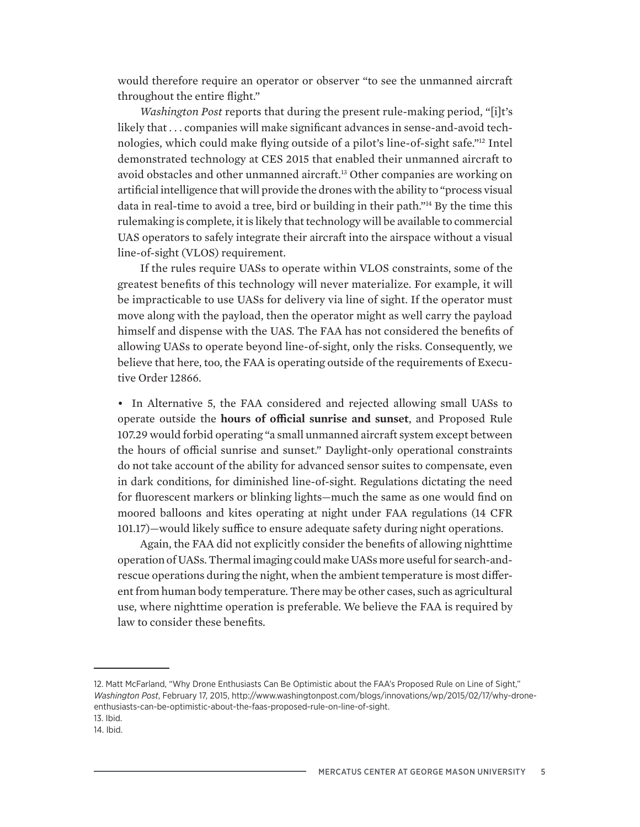would therefore require an operator or observer "to see the unmanned aircraft throughout the entire flight."

*Washington Post* reports that during the present rule-making period, "[i]t's likely that . . . companies will make significant advances in sense-and-avoid technologies, which could make flying outside of a pilot's line-of-sight safe."12 Intel demonstrated technology at CES 2015 that enabled their unmanned aircraft to avoid obstacles and other unmanned aircraft.13 Other companies are working on artificial intelligence that will provide the drones with the ability to "process visual data in real-time to avoid a tree, bird or building in their path."14 By the time this rulemaking is complete, it is likely that technology will be available to commercial UAS operators to safely integrate their aircraft into the airspace without a visual line-of-sight (VLOS) requirement.

If the rules require UASs to operate within VLOS constraints, some of the greatest benefits of this technology will never materialize. For example, it will be impracticable to use UASs for delivery via line of sight. If the operator must move along with the payload, then the operator might as well carry the payload himself and dispense with the UAS. The FAA has not considered the benefits of allowing UASs to operate beyond line-of-sight, only the risks. Consequently, we believe that here, too, the FAA is operating outside of the requirements of Executive Order 12866.

• In Alternative 5, the FAA considered and rejected allowing small UASs to operate outside the **hours of official sunrise and sunset**, and Proposed Rule 107.29 would forbid operating "a small unmanned aircraft system except between the hours of official sunrise and sunset." Daylight-only operational constraints do not take account of the ability for advanced sensor suites to compensate, even in dark conditions, for diminished line-of-sight. Regulations dictating the need for fluorescent markers or blinking lights—much the same as one would find on moored balloons and kites operating at night under FAA regulations (14 CFR 101.17)—would likely suffice to ensure adequate safety during night operations.

Again, the FAA did not explicitly consider the benefits of allowing nighttime operation of UASs. Thermal imaging could make UASs more useful for search-andrescue operations during the night, when the ambient temperature is most different from human body temperature. There may be other cases, such as agricultural use, where nighttime operation is preferable. We believe the FAA is required by law to consider these benefits.

<sup>12.</sup> Matt McFarland, "Why Drone Enthusiasts Can Be Optimistic about the FAA's Proposed Rule on Line of Sight," *Washington Post*, February 17, 2015, http://www.washingtonpost.com/blogs/innovations/wp/2015/02/17/why-droneenthusiasts-can-be-optimistic-about-the-faas-proposed-rule-on-line-of-sight. 13. Ibid.

<sup>14.</sup> Ibid.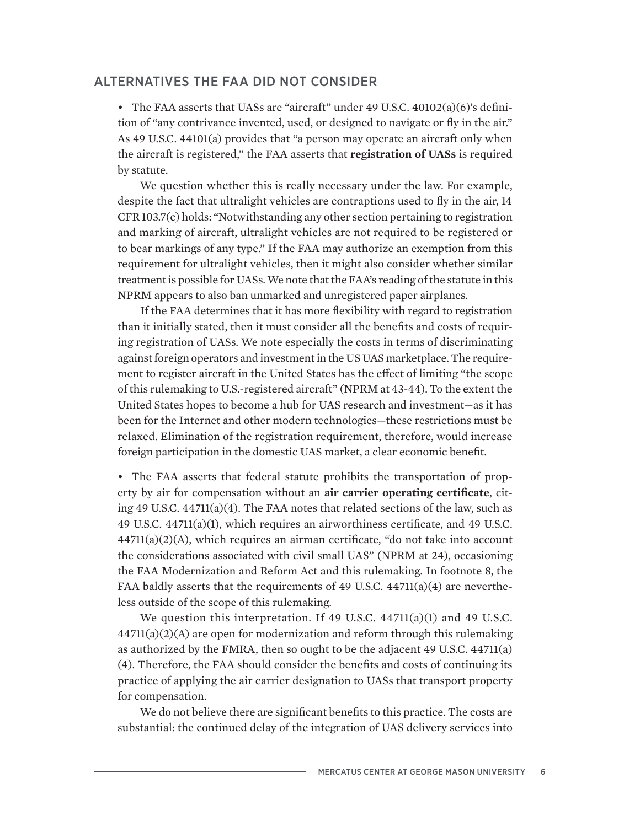#### ALTERNATIVES THE FAA DID NOT CONSIDER

• The FAA asserts that UASs are "aircraft" under 49 U.S.C. 40102(a)(6)'s definition of "any contrivance invented, used, or designed to navigate or fly in the air." As 49 U.S.C. 44101(a) provides that "a person may operate an aircraft only when the aircraft is registered," the FAA asserts that **registration of UASs** is required by statute.

We question whether this is really necessary under the law. For example, despite the fact that ultralight vehicles are contraptions used to fly in the air, 14 CFR 103.7(c) holds: "Notwithstanding any other section pertaining to registration and marking of aircraft, ultralight vehicles are not required to be registered or to bear markings of any type." If the FAA may authorize an exemption from this requirement for ultralight vehicles, then it might also consider whether similar treatment is possible for UASs. We note that the FAA's reading of the statute in this NPRM appears to also ban unmarked and unregistered paper airplanes.

If the FAA determines that it has more flexibility with regard to registration than it initially stated, then it must consider all the benefits and costs of requiring registration of UASs. We note especially the costs in terms of discriminating against foreign operators and investment in the US UAS marketplace. The requirement to register aircraft in the United States has the effect of limiting "the scope of this rulemaking to U.S.-registered aircraft" (NPRM at 43-44). To the extent the United States hopes to become a hub for UAS research and investment—as it has been for the Internet and other modern technologies—these restrictions must be relaxed. Elimination of the registration requirement, therefore, would increase foreign participation in the domestic UAS market, a clear economic benefit.

• The FAA asserts that federal statute prohibits the transportation of property by air for compensation without an **air carrier operating certificate**, citing 49 U.S.C.  $44711(a)(4)$ . The FAA notes that related sections of the law, such as 49 U.S.C. 44711(a)(1), which requires an airworthiness certificate, and 49 U.S.C. 44711(a)(2)(A), which requires an airman certificate, "do not take into account the considerations associated with civil small UAS" (NPRM at 24), occasioning the FAA Modernization and Reform Act and this rulemaking. In footnote 8, the FAA baldly asserts that the requirements of 49 U.S.C.  $44711(a)(4)$  are nevertheless outside of the scope of this rulemaking.

We question this interpretation. If 49 U.S.C. 44711(a)(1) and 49 U.S.C.  $44711(a)(2)(A)$  are open for modernization and reform through this rulemaking as authorized by the FMRA, then so ought to be the adjacent 49 U.S.C. 44711(a) (4). Therefore, the FAA should consider the benefits and costs of continuing its practice of applying the air carrier designation to UASs that transport property for compensation.

We do not believe there are significant benefits to this practice. The costs are substantial: the continued delay of the integration of UAS delivery services into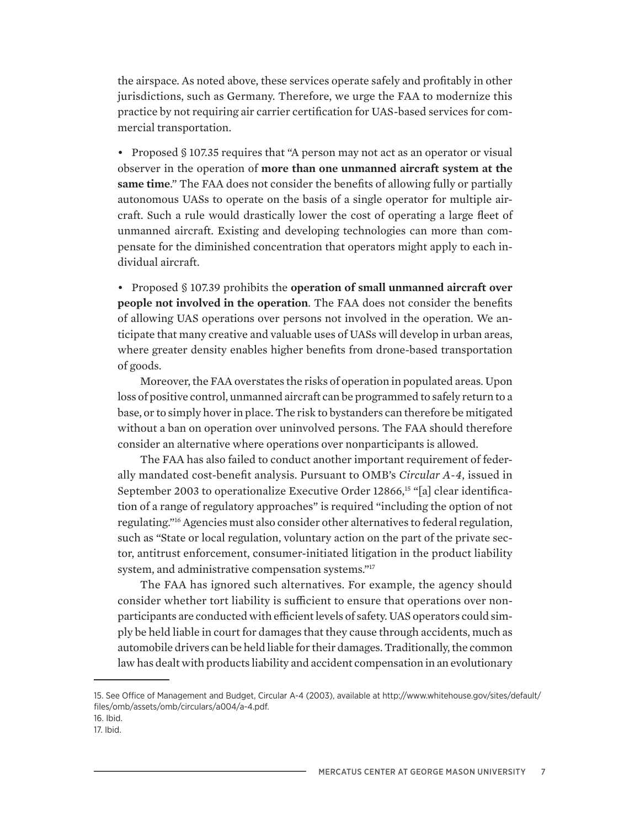the airspace. As noted above, these services operate safely and profitably in other jurisdictions, such as Germany. Therefore, we urge the FAA to modernize this practice by not requiring air carrier certification for UAS-based services for commercial transportation.

• Proposed § 107.35 requires that "A person may not act as an operator or visual observer in the operation of **more than one unmanned aircraft system at the same time**." The FAA does not consider the benefits of allowing fully or partially autonomous UASs to operate on the basis of a single operator for multiple aircraft. Such a rule would drastically lower the cost of operating a large fleet of unmanned aircraft. Existing and developing technologies can more than compensate for the diminished concentration that operators might apply to each individual aircraft.

• Proposed § 107.39 prohibits the **operation of small unmanned aircraft over people not involved in the operation**. The FAA does not consider the benefits of allowing UAS operations over persons not involved in the operation. We anticipate that many creative and valuable uses of UASs will develop in urban areas, where greater density enables higher benefits from drone-based transportation of goods.

Moreover, the FAA overstates the risks of operation in populated areas. Upon loss of positive control, unmanned aircraft can be programmed to safely return to a base, or to simply hover in place. The risk to bystanders can therefore be mitigated without a ban on operation over uninvolved persons. The FAA should therefore consider an alternative where operations over nonparticipants is allowed.

The FAA has also failed to conduct another important requirement of federally mandated cost-benefit analysis. Pursuant to OMB's *Circular A-4*, issued in September 2003 to operationalize Executive Order 12866,15 "[a] clear identification of a range of regulatory approaches" is required "including the option of not regulating."16 Agencies must also consider other alternatives to federal regulation, such as "State or local regulation, voluntary action on the part of the private sector, antitrust enforcement, consumer-initiated litigation in the product liability system, and administrative compensation systems."17

The FAA has ignored such alternatives. For example, the agency should consider whether tort liability is sufficient to ensure that operations over nonparticipants are conducted with efficient levels of safety. UAS operators could simply be held liable in court for damages that they cause through accidents, much as automobile drivers can be held liable for their damages. Traditionally, the common law has dealt with products liability and accident compensation in an evolutionary

<sup>15.</sup> See Office of Management and Budget, Circular A-4 (2003), available at http://www.whitehouse.gov/sites/default/ files/omb/assets/omb/circulars/a004/a-4.pdf.

<sup>16.</sup> Ibid.

<sup>17.</sup> Ibid.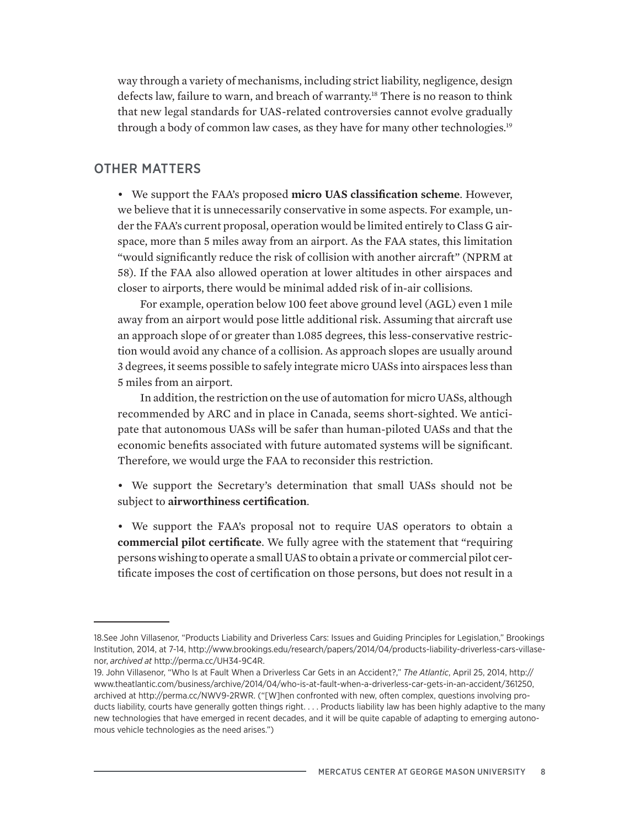way through a variety of mechanisms, including strict liability, negligence, design defects law, failure to warn, and breach of warranty.<sup>18</sup> There is no reason to think that new legal standards for UAS-related controversies cannot evolve gradually through a body of common law cases, as they have for many other technologies.19

#### OTHER MATTERS

• We support the FAA's proposed **micro UAS classification scheme**. However, we believe that it is unnecessarily conservative in some aspects. For example, under the FAA's current proposal, operation would be limited entirely to Class G airspace, more than 5 miles away from an airport. As the FAA states, this limitation "would significantly reduce the risk of collision with another aircraft" (NPRM at 58). If the FAA also allowed operation at lower altitudes in other airspaces and closer to airports, there would be minimal added risk of in-air collisions.

For example, operation below 100 feet above ground level (AGL) even 1 mile away from an airport would pose little additional risk. Assuming that aircraft use an approach slope of or greater than 1.085 degrees, this less-conservative restriction would avoid any chance of a collision. As approach slopes are usually around 3 degrees, it seems possible to safely integrate micro UASs into airspaces less than 5 miles from an airport.

In addition, the restriction on the use of automation for micro UASs, although recommended by ARC and in place in Canada, seems short-sighted. We anticipate that autonomous UASs will be safer than human-piloted UASs and that the economic benefits associated with future automated systems will be significant. Therefore, we would urge the FAA to reconsider this restriction.

- We support the Secretary's determination that small UASs should not be subject to **airworthiness certification**.
- We support the FAA's proposal not to require UAS operators to obtain a **commercial pilot certificate**. We fully agree with the statement that "requiring persons wishing to operate a small UAS to obtain a private or commercial pilot certificate imposes the cost of certification on those persons, but does not result in a

<sup>18.</sup>See John Villasenor, "Products Liability and Driverless Cars: Issues and Guiding Principles for Legislation," Brookings Institution, 2014, at 7-14, http://www.brookings.edu/research/papers/2014/04/products-liability-driverless-cars-villasenor, *archived at* http://perma.cc/UH34-9C4R.

<sup>19.</sup> John Villasenor, "Who Is at Fault When a Driverless Car Gets in an Accident?," *The Atlantic*, April 25, 2014, http:// www.theatlantic.com/business/archive/2014/04/who-is-at-fault-when-a-driverless-car-gets-in-an-accident/361250, archived at http://perma.cc/NWV9-2RWR. ("[W]hen confronted with new, often complex, questions involving products liability, courts have generally gotten things right. . . . Products liability law has been highly adaptive to the many new technologies that have emerged in recent decades, and it will be quite capable of adapting to emerging autonomous vehicle technologies as the need arises.")